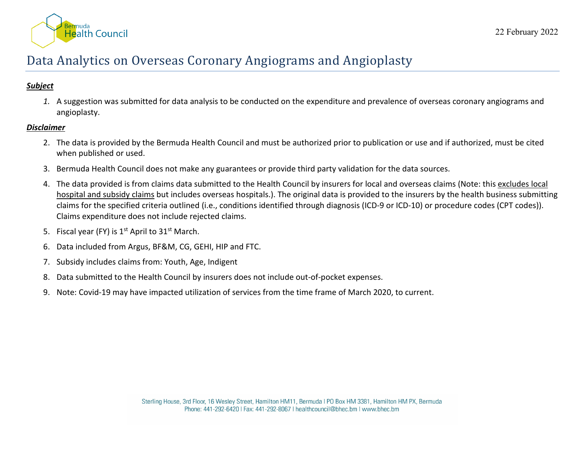

## Data Analytics on Overseas Coronary Angiograms and Angioplasty

## *Subject*

*1.* A suggestion was submitted for data analysis to be conducted on the expenditure and prevalence of overseas coronary angiograms and angioplasty.

## *Disclaimer*

- 2. The data is provided by the Bermuda Health Council and must be authorized prior to publication or use and if authorized, must be cited when published or used.
- 3. Bermuda Health Council does not make any guarantees or provide third party validation for the data sources.
- 4. The data provided is from claims data submitted to the Health Council by insurers for local and overseas claims (Note: this excludes local hospital and subsidy claims but includes overseas hospitals.). The original data is provided to the insurers by the health business submitting claims for the specified criteria outlined (i.e., conditions identified through diagnosis (ICD-9 or ICD-10) or procedure codes (CPT codes)). Claims expenditure does not include rejected claims.
- 5. Fiscal year (FY) is  $1<sup>st</sup>$  April to  $31<sup>st</sup>$  March.
- 6. Data included from Argus, BF&M, CG, GEHI, HIP and FTC.
- 7. Subsidy includes claims from: Youth, Age, Indigent
- 8. Data submitted to the Health Council by insurers does not include out-of-pocket expenses.
- 9. Note: Covid-19 may have impacted utilization of services from the time frame of March 2020, to current.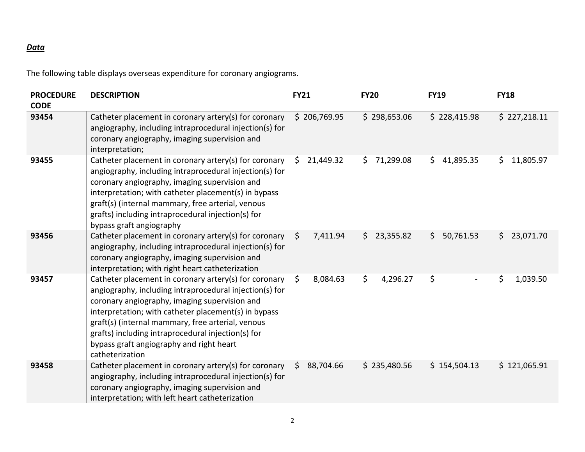## *Data*

The following table displays overseas expenditure for coronary angiograms.

| <b>PROCEDURE</b><br><b>CODE</b> | <b>DESCRIPTION</b>                                                                                                                                                                                                                                                                                                                                                                                  | <b>FY21</b>     | <b>FY20</b>     | <b>FY19</b>      | <b>FY18</b>      |
|---------------------------------|-----------------------------------------------------------------------------------------------------------------------------------------------------------------------------------------------------------------------------------------------------------------------------------------------------------------------------------------------------------------------------------------------------|-----------------|-----------------|------------------|------------------|
| 93454                           | Catheter placement in coronary artery(s) for coronary<br>angiography, including intraprocedural injection(s) for<br>coronary angiography, imaging supervision and<br>interpretation;                                                                                                                                                                                                                | \$206,769.95    | \$298,653.06    | \$228,415.98     | \$227,218.11     |
| 93455                           | Catheter placement in coronary artery(s) for coronary<br>angiography, including intraprocedural injection(s) for<br>coronary angiography, imaging supervision and<br>interpretation; with catheter placement(s) in bypass<br>graft(s) (internal mammary, free arterial, venous<br>grafts) including intraprocedural injection(s) for<br>bypass graft angiography                                    | 21,449.32<br>S. | \$71,299.08     | \$41,895.35      | \$.<br>11,805.97 |
| 93456                           | Catheter placement in coronary artery(s) for coronary<br>angiography, including intraprocedural injection(s) for<br>coronary angiography, imaging supervision and<br>interpretation; with right heart catheterization                                                                                                                                                                               | \$<br>7,411.94  | 23,355.82<br>S. | 50,761.53<br>\$. | 23,071.70<br>\$. |
| 93457                           | Catheter placement in coronary artery(s) for coronary<br>angiography, including intraprocedural injection(s) for<br>coronary angiography, imaging supervision and<br>interpretation; with catheter placement(s) in bypass<br>graft(s) (internal mammary, free arterial, venous<br>grafts) including intraprocedural injection(s) for<br>bypass graft angiography and right heart<br>catheterization | \$<br>8,084.63  | \$<br>4,296.27  | \$               | \$<br>1,039.50   |
| 93458                           | Catheter placement in coronary artery(s) for coronary<br>angiography, including intraprocedural injection(s) for<br>coronary angiography, imaging supervision and<br>interpretation; with left heart catheterization                                                                                                                                                                                | \$88,704.66     | \$235,480.56    | \$154,504.13     | \$121,065.91     |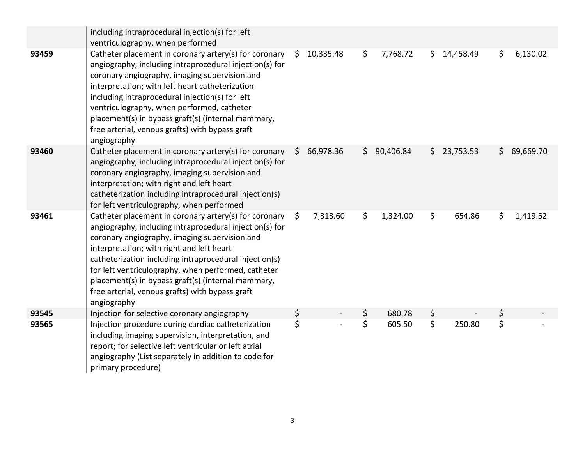|       | including intraprocedural injection(s) for left<br>ventriculography, when performed                                                                                                                                                                                                                                                                                                                                                                     |    |           |    |           |     |           |     |           |
|-------|---------------------------------------------------------------------------------------------------------------------------------------------------------------------------------------------------------------------------------------------------------------------------------------------------------------------------------------------------------------------------------------------------------------------------------------------------------|----|-----------|----|-----------|-----|-----------|-----|-----------|
| 93459 | Catheter placement in coronary artery(s) for coronary<br>angiography, including intraprocedural injection(s) for<br>coronary angiography, imaging supervision and<br>interpretation; with left heart catheterization<br>including intraprocedural injection(s) for left<br>ventriculography, when performed, catheter<br>placement(s) in bypass graft(s) (internal mammary,<br>free arterial, venous grafts) with bypass graft<br>angiography           | \$ | 10,335.48 | \$ | 7,768.72  | \$. | 14,458.49 | \$. | 6,130.02  |
| 93460 | Catheter placement in coronary artery(s) for coronary<br>angiography, including intraprocedural injection(s) for<br>coronary angiography, imaging supervision and<br>interpretation; with right and left heart<br>catheterization including intraprocedural injection(s)<br>for left ventriculography, when performed                                                                                                                                   | S. | 66,978.36 | S. | 90,406.84 | S.  | 23,753.53 | \$. | 69,669.70 |
| 93461 | Catheter placement in coronary artery(s) for coronary<br>angiography, including intraprocedural injection(s) for<br>coronary angiography, imaging supervision and<br>interpretation; with right and left heart<br>catheterization including intraprocedural injection(s)<br>for left ventriculography, when performed, catheter<br>placement(s) in bypass graft(s) (internal mammary,<br>free arterial, venous grafts) with bypass graft<br>angiography | \$ | 7,313.60  | \$ | 1,324.00  | \$  | 654.86    | \$. | 1,419.52  |
| 93545 | Injection for selective coronary angiography                                                                                                                                                                                                                                                                                                                                                                                                            | \$ |           | \$ | 680.78    | \$  |           | \$  |           |
| 93565 | Injection procedure during cardiac catheterization<br>including imaging supervision, interpretation, and<br>report; for selective left ventricular or left atrial<br>angiography (List separately in addition to code for<br>primary procedure)                                                                                                                                                                                                         | \$ |           | \$ | 605.50    | \$  | 250.80    | \$  |           |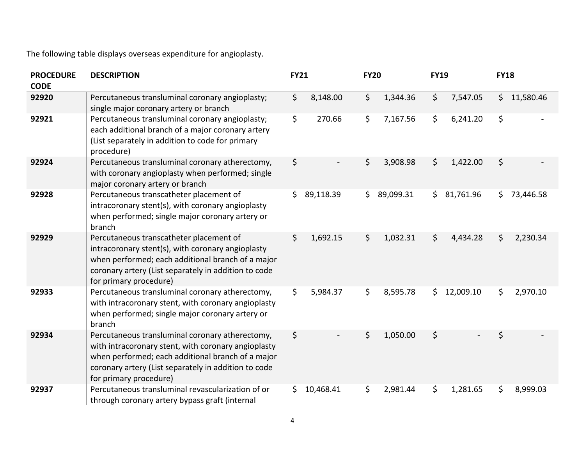The following table displays overseas expenditure for angioplasty.

| <b>PROCEDURE</b><br><b>CODE</b> | <b>DESCRIPTION</b>                                                                                                                                                                                                                            | <b>FY21</b> |           | <b>FY20</b> |           | <b>FY19</b> |             | <b>FY18</b> |           |
|---------------------------------|-----------------------------------------------------------------------------------------------------------------------------------------------------------------------------------------------------------------------------------------------|-------------|-----------|-------------|-----------|-------------|-------------|-------------|-----------|
| 92920                           | Percutaneous transluminal coronary angioplasty;<br>single major coronary artery or branch                                                                                                                                                     | \$          | 8,148.00  | \$          | 1,344.36  | \$          | 7,547.05    | \$          | 11,580.46 |
| 92921                           | Percutaneous transluminal coronary angioplasty;<br>each additional branch of a major coronary artery<br>(List separately in addition to code for primary<br>procedure)                                                                        | \$          | 270.66    | \$          | 7,167.56  | \$          | 6,241.20    | \$          |           |
| 92924                           | Percutaneous transluminal coronary atherectomy,<br>with coronary angioplasty when performed; single<br>major coronary artery or branch                                                                                                        | \$          |           | \$.         | 3,908.98  | \$          | 1,422.00    | \$          |           |
| 92928                           | Percutaneous transcatheter placement of<br>intracoronary stent(s), with coronary angioplasty<br>when performed; single major coronary artery or<br>branch                                                                                     | \$          | 89,118.39 | \$.         | 89,099.31 |             | \$31,761.96 | \$.         | 73,446.58 |
| 92929                           | Percutaneous transcatheter placement of<br>intracoronary stent(s), with coronary angioplasty<br>when performed; each additional branch of a major<br>coronary artery (List separately in addition to code<br>for primary procedure)           | \$          | 1,692.15  | \$.         | 1,032.31  | \$          | 4,434.28    | \$          | 2,230.34  |
| 92933                           | Percutaneous transluminal coronary atherectomy,<br>with intracoronary stent, with coronary angioplasty<br>when performed; single major coronary artery or<br>branch                                                                           | \$          | 5,984.37  | \$.         | 8,595.78  | \$.         | 12,009.10   | \$          | 2,970.10  |
| 92934                           | Percutaneous transluminal coronary atherectomy,<br>with intracoronary stent, with coronary angioplasty<br>when performed; each additional branch of a major<br>coronary artery (List separately in addition to code<br>for primary procedure) | \$          |           | \$          | 1,050.00  | \$          |             | \$          |           |
| 92937                           | Percutaneous transluminal revascularization of or<br>through coronary artery bypass graft (internal                                                                                                                                           | \$          | 10,468.41 | \$          | 2,981.44  | \$          | 1,281.65    | \$.         | 8,999.03  |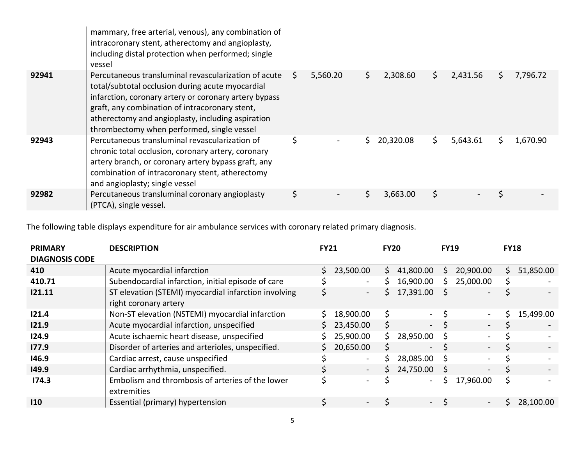|       | mammary, free arterial, venous), any combination of<br>intracoronary stent, atherectomy and angioplasty,<br>including distal protection when performed; single<br>vessel                                                                                                                                               |              |          |     |           |    |          |    |          |
|-------|------------------------------------------------------------------------------------------------------------------------------------------------------------------------------------------------------------------------------------------------------------------------------------------------------------------------|--------------|----------|-----|-----------|----|----------|----|----------|
| 92941 | Percutaneous transluminal revascularization of acute<br>total/subtotal occlusion during acute myocardial<br>infarction, coronary artery or coronary artery bypass<br>graft, any combination of intracoronary stent,<br>atherectomy and angioplasty, including aspiration<br>thrombectomy when performed, single vessel | $\mathsf{S}$ | 5,560.20 | S.  | 2,308.60  | S. | 2,431.56 | S  | 7,796.72 |
| 92943 | Percutaneous transluminal revascularization of<br>chronic total occlusion, coronary artery, coronary<br>artery branch, or coronary artery bypass graft, any<br>combination of intracoronary stent, atherectomy<br>and angioplasty; single vessel                                                                       | \$           |          | S.  | 20,320.08 | Ś. | 5,643.61 | S. | 1,670.90 |
| 92982 | Percutaneous transluminal coronary angioplasty<br>(PTCA), single vessel.                                                                                                                                                                                                                                               | \$           |          | \$. | 3,663.00  | \$ |          | Ś  |          |

The following table displays expenditure for air ambulance services with coronary related primary diagnosis.

| <b>PRIMARY</b>        | <b>DESCRIPTION</b>                                                            | <b>FY21</b> |                          | <b>FY20</b> |                           | <b>FY19</b> |                          | <b>FY18</b> |           |
|-----------------------|-------------------------------------------------------------------------------|-------------|--------------------------|-------------|---------------------------|-------------|--------------------------|-------------|-----------|
| <b>DIAGNOSIS CODE</b> |                                                                               |             |                          |             |                           |             |                          |             |           |
| 410                   | Acute myocardial infarction                                                   | \$.         | 23,500.00                | S.          | 41,800.00                 | S.          | 20,900.00                | S.          | 51,850.00 |
| 410.71                | Subendocardial infarction, initial episode of care                            |             |                          |             | 16,900.00                 | S.          | 25,000.00                | S           |           |
| 121.11                | ST elevation (STEMI) myocardial infarction involving<br>right coronary artery | \$          |                          | S.          | 17,391.00                 |             |                          |             |           |
| 121.4                 | Non-ST elevation (NSTEMI) myocardial infarction                               |             | 18,900.00                |             | $\mathbf{L}^{\text{max}}$ |             | $\sim$                   |             | 15,499.00 |
| 121.9                 | Acute myocardial infarction, unspecified                                      |             | \$23,450.00              | S.          | $\pm$ .                   |             | $\sim$                   |             |           |
| 124.9                 | Acute ischaemic heart disease, unspecified                                    |             | 25,900.00                | S.          | 28,950.00                 |             | $\sim$                   |             |           |
| 177.9                 | Disorder of arteries and arterioles, unspecified.                             |             | 20,650.00                | ς.          | $\overline{\phantom{0}}$  |             | $\sim$                   |             |           |
| 146.9                 | Cardiac arrest, cause unspecified                                             |             | $\overline{\phantom{0}}$ | S.          | 28,085.00                 |             | $\sim$                   |             |           |
| 149.9                 | Cardiac arrhythmia, unspecified.                                              |             | $\overline{\phantom{a}}$ | S.          | 24,750.00                 | S           | $\overline{\phantom{a}}$ | Ś           |           |
| 174.3                 | Embolism and thrombosis of arteries of the lower<br>extremities               |             |                          |             | $\overline{\phantom{0}}$  | ς           | 17,960.00                | Ś           |           |
| 110                   | Essential (primary) hypertension                                              |             |                          |             | $\blacksquare$            |             | $\sim$                   |             | 28,100.00 |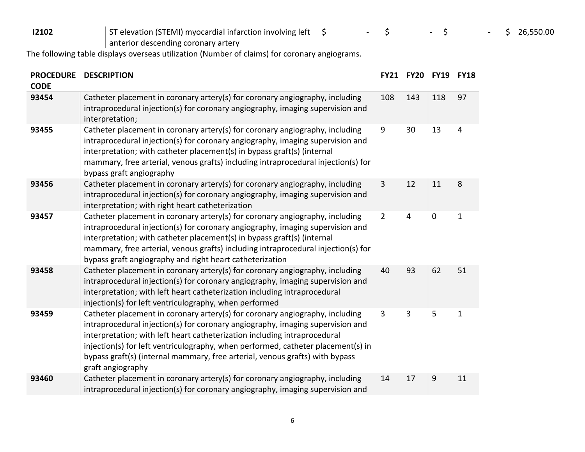| 12102                           | ST elevation (STEMI) myocardial infarction involving left \$<br>anterior descending coronary artery                                                                                                                                                                                                                                                                                                             | \$             |     | \$                  |              | \$. | 26,550.00 |  |
|---------------------------------|-----------------------------------------------------------------------------------------------------------------------------------------------------------------------------------------------------------------------------------------------------------------------------------------------------------------------------------------------------------------------------------------------------------------|----------------|-----|---------------------|--------------|-----|-----------|--|
|                                 | The following table displays overseas utilization (Number of claims) for coronary angiograms.                                                                                                                                                                                                                                                                                                                   |                |     |                     |              |     |           |  |
| <b>PROCEDURE</b><br><b>CODE</b> | <b>DESCRIPTION</b>                                                                                                                                                                                                                                                                                                                                                                                              |                |     | FY21 FY20 FY19 FY18 |              |     |           |  |
| 93454                           | Catheter placement in coronary artery(s) for coronary angiography, including<br>intraprocedural injection(s) for coronary angiography, imaging supervision and<br>interpretation;                                                                                                                                                                                                                               | 108            | 143 | 118                 | 97           |     |           |  |
| 93455                           | Catheter placement in coronary artery(s) for coronary angiography, including<br>intraprocedural injection(s) for coronary angiography, imaging supervision and<br>interpretation; with catheter placement(s) in bypass graft(s) (internal<br>mammary, free arterial, venous grafts) including intraprocedural injection(s) for<br>bypass graft angiography                                                      | 9              | 30  | 13                  | 4            |     |           |  |
| 93456                           | Catheter placement in coronary artery(s) for coronary angiography, including<br>intraprocedural injection(s) for coronary angiography, imaging supervision and<br>interpretation; with right heart catheterization                                                                                                                                                                                              | 3              | 12  | 11                  | 8            |     |           |  |
| 93457                           | Catheter placement in coronary artery(s) for coronary angiography, including<br>intraprocedural injection(s) for coronary angiography, imaging supervision and<br>interpretation; with catheter placement(s) in bypass graft(s) (internal<br>mammary, free arterial, venous grafts) including intraprocedural injection(s) for<br>bypass graft angiography and right heart catheterization                      | $\overline{2}$ | 4   | $\mathbf 0$         | $\mathbf{1}$ |     |           |  |
| 93458                           | Catheter placement in coronary artery(s) for coronary angiography, including<br>intraprocedural injection(s) for coronary angiography, imaging supervision and<br>interpretation; with left heart catheterization including intraprocedural<br>injection(s) for left ventriculography, when performed                                                                                                           | 40             | 93  | 62                  | 51           |     |           |  |
| 93459                           | Catheter placement in coronary artery(s) for coronary angiography, including<br>intraprocedural injection(s) for coronary angiography, imaging supervision and<br>interpretation; with left heart catheterization including intraprocedural<br>injection(s) for left ventriculography, when performed, catheter placement(s) in<br>bypass graft(s) (internal mammary, free arterial, venous grafts) with bypass | 3              | 3   | 5                   | $\mathbf{1}$ |     |           |  |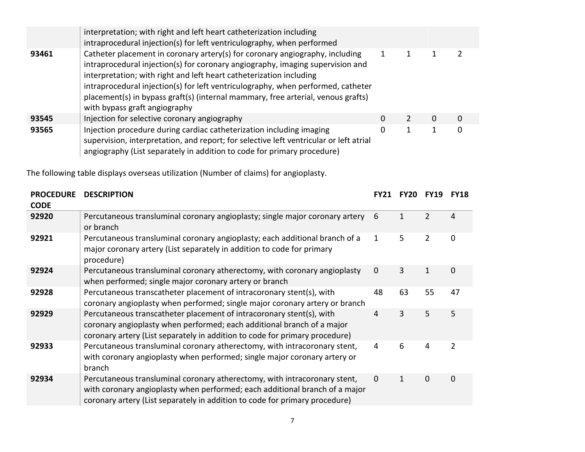|       | interpretation; with right and left heart catheterization including<br>intraprocedural injection(s) for left ventriculography, when performed                                                                                                                                                                                                                                                                                                  |          |               |   |   |
|-------|------------------------------------------------------------------------------------------------------------------------------------------------------------------------------------------------------------------------------------------------------------------------------------------------------------------------------------------------------------------------------------------------------------------------------------------------|----------|---------------|---|---|
| 93461 | Catheter placement in coronary artery(s) for coronary angiography, including<br>intraprocedural injection(s) for coronary angiography, imaging supervision and<br>interpretation; with right and left heart catheterization including<br>intraprocedural injection(s) for left ventriculography, when performed, catheter<br>placement(s) in bypass graft(s) (internal mammary, free arterial, venous grafts)<br>with bypass graft angiography |          |               |   |   |
| 93545 | Injection for selective coronary angiography                                                                                                                                                                                                                                                                                                                                                                                                   | $\Omega$ | $\mathcal{P}$ | 0 | 0 |
| 93565 | Injection procedure during cardiac catheterization including imaging<br>supervision, interpretation, and report; for selective left ventricular or left atrial<br>angiography (List separately in addition to code for primary procedure)                                                                                                                                                                                                      | 0        |               |   | 0 |

The following table displays overseas utilization (Number of claims) for angioplasty.

| <b>PROCEDURE</b><br><b>CODE</b> | <b>DESCRIPTION</b>                                                                                                                                                                                                                      |                | <b>FY21 FY20</b> | <b>FY19 FY18</b> |               |
|---------------------------------|-----------------------------------------------------------------------------------------------------------------------------------------------------------------------------------------------------------------------------------------|----------------|------------------|------------------|---------------|
| 92920                           | Percutaneous transluminal coronary angioplasty; single major coronary artery<br>or branch                                                                                                                                               | 6              |                  | $\overline{2}$   | 4             |
| 92921                           | Percutaneous transluminal coronary angioplasty; each additional branch of a<br>major coronary artery (List separately in addition to code for primary<br>procedure)                                                                     | $\mathbf{1}$   | 5                | 2                | $\mathbf 0$   |
| 92924                           | Percutaneous transluminal coronary atherectomy, with coronary angioplasty<br>when performed; single major coronary artery or branch                                                                                                     | $\mathbf{0}$   | 3                | 1                | $\mathbf 0$   |
| 92928                           | Percutaneous transcatheter placement of intracoronary stent(s), with<br>coronary angioplasty when performed; single major coronary artery or branch                                                                                     | 48             | 63               | 55               | 47            |
| 92929                           | Percutaneous transcatheter placement of intracoronary stent(s), with<br>coronary angioplasty when performed; each additional branch of a major<br>coronary artery (List separately in addition to code for primary procedure)           | $\overline{4}$ | 3                | 5                | 5.            |
| 92933                           | Percutaneous transluminal coronary atherectomy, with intracoronary stent,<br>with coronary angioplasty when performed; single major coronary artery or<br>branch                                                                        | 4              | 6                | 4                | $\mathcal{P}$ |
| 92934                           | Percutaneous transluminal coronary atherectomy, with intracoronary stent,<br>with coronary angioplasty when performed; each additional branch of a major<br>coronary artery (List separately in addition to code for primary procedure) | $\mathbf{0}$   |                  | $\mathbf 0$      | $\mathbf 0$   |